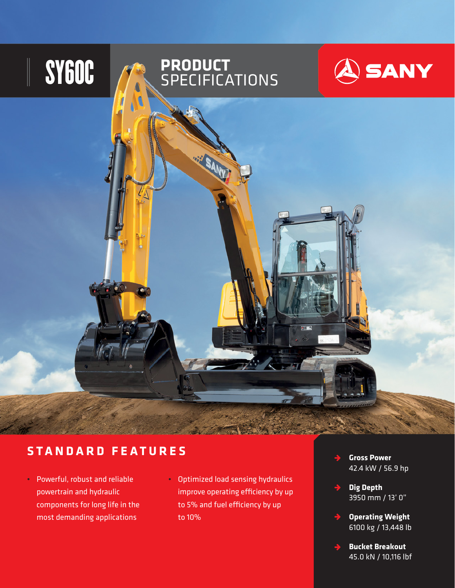

## **STANDARD FEATURES**

- Powerful, robust and reliable powertrain and hydraulic components for long life in the most demanding applications
- Optimized load sensing hydraulics improve operating efficiency by up to 5% and fuel efficiency by up to 10%
- **Gross Power**   $\rightarrow$ 42.4 kW / 56.9 hp
- **Dig Depth** 3950 mm / 13' 0"
- **Operating Weight**  $\rightarrow$ 6100 kg / 13,448 lb
	- **Bucket Breakout** 45.0 kN / 10,116 lbf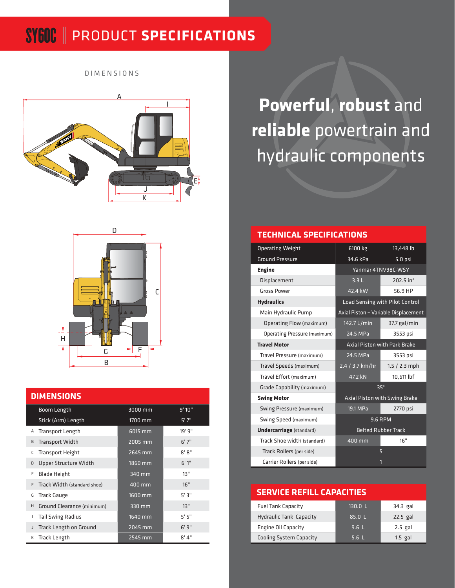## SY60C PRODUCT **SPECIFICATIONS**

DIMENSIONS





### **DIMENSIONS**

|   | Boom Length                   | 3000 mm   | 9'10'' |  |  |
|---|-------------------------------|-----------|--------|--|--|
|   | Stick (Arm) Length            | 1700 mm   | 5'7''  |  |  |
| Α | <b>Transport Length</b>       | $6015$ mm | 19' 9" |  |  |
| B | <b>Transport Width</b>        | 2005 mm   | 6'7''  |  |  |
| С | <b>Transport Height</b>       | 2645 mm   | 8'8''  |  |  |
| D | Upper Structure Width         | 1860 mm   | 6'1''  |  |  |
| E | <b>Blade Height</b>           | 340 mm    | 13"    |  |  |
| F | Track Width (standard shoe)   | 400 mm    | 16"    |  |  |
| G | <b>Track Gauge</b>            | 1600 mm   | 5'3"   |  |  |
| H | Ground Clearance (minimum)    | 330 mm    | 13"    |  |  |
| L | <b>Tail Swing Radius</b>      | 1640 mm   | 5'5''  |  |  |
| J | <b>Track Length on Ground</b> | 2045 mm   | 6'9''  |  |  |
| К | <b>Track Length</b>           | 2545 mm   | 8'4''  |  |  |

**Powerful**, **robust** and **reliable** powertrain and hydraulic components

## **TECHNICAL SPECIFICATIONS**

| <b>Operating Weight</b>             | 6100 kg                             | 13,448 lb                            |  |  |
|-------------------------------------|-------------------------------------|--------------------------------------|--|--|
| <b>Ground Pressure</b>              | 34.6 kPa                            | $5.0$ psi                            |  |  |
| <b>Engine</b>                       | Yanmar 4TNV98C-WSY                  |                                      |  |  |
| Displacement                        | 3.3L                                | 202.5 in $3$                         |  |  |
| <b>Gross Power</b>                  | 42.4 kW                             | 56.9 HP                              |  |  |
| <b>Hydraulics</b>                   |                                     | Load Sensing with Pilot Control      |  |  |
| Main Hydraulic Pump                 |                                     | Axial Piston - Variable Displacement |  |  |
| Operating Flow (maximum)            | 142.7 L/min                         | 37.7 gal/min                         |  |  |
| <b>Operating Pressure (maximum)</b> | 24.5 MPa                            | 3553 psi                             |  |  |
| <b>Travel Motor</b>                 | <b>Axial Piston with Park Brake</b> |                                      |  |  |
| Travel Pressure (maximum)           | 24.5 MPa                            | 3553 psi                             |  |  |
| Travel Speeds (maximum)             | 2.4 / 3.7 km/hr                     | $1.5 / 2.3$ mph                      |  |  |
| Travel Effort (maximum)             | 47.2 kN                             | 10,611 lbf                           |  |  |
| Grade Capability (maximum)          | $35^\circ$                          |                                      |  |  |
| <b>Swing Motor</b>                  | Axial Piston with Swing Brake       |                                      |  |  |
| Swing Pressure (maximum)            | 19.1 MPa                            | 2770 psi                             |  |  |
| Swing Speed (maximum)               |                                     | <b>9.6 RPM</b>                       |  |  |
| <b>Undercarriage</b> (standard)     | <b>Belted Rubber Track</b>          |                                      |  |  |
| Track Shoe width (standard)         | 400 mm                              | 16"                                  |  |  |
| Track Rollers (per side)            |                                     | 5                                    |  |  |
| Carrier Rollers (per side)          |                                     | 1                                    |  |  |

### **SERVICE REFILL CAPACITIES**

| <b>Fuel Tank Capacity</b>      | 130.0 L | 34.3 gal   |
|--------------------------------|---------|------------|
| <b>Hydraulic Tank Capacity</b> | 85.0L   | $22.5$ gal |
| Engine Oil Capacity            | 9.6L    | $2.5$ gal  |
| <b>Cooling System Capacity</b> | 5.6L    | $1.5$ gal  |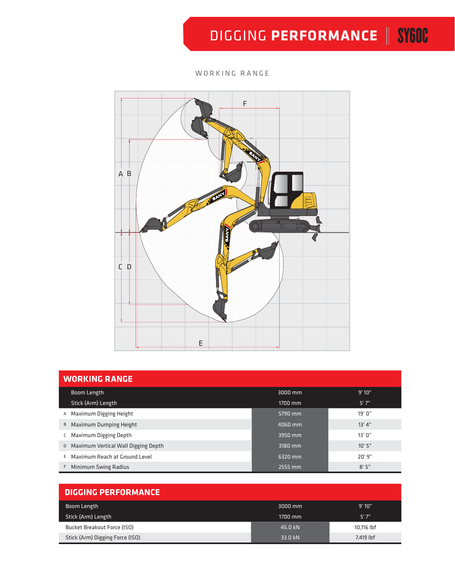# **DIGGING PERFORMANCE | SYGOC**

### WORKING RANGE



| <b>WORKING RANGE</b>                  |         |         |  |  |  |  |  |
|---------------------------------------|---------|---------|--|--|--|--|--|
| Boom Length                           | 3000 mm | 9'10"   |  |  |  |  |  |
| Stick (Arm) Length                    | 1700 mm | 5'7''   |  |  |  |  |  |
| A Maximum Digging Height              | 5790 mm | 19'0''  |  |  |  |  |  |
| B Maximum Dumping Height              | 4060 mm | 13' 4'' |  |  |  |  |  |
| C Maximum Digging Depth               | 3950 mm | 13'0''  |  |  |  |  |  |
| D Maximum Vertical Wall Digging Depth | 3180 mm | 10'5''  |  |  |  |  |  |
| E Maximum Reach at Ground Level       | 6320 mm | 20'9''  |  |  |  |  |  |
| F Minimum Swing Radius                | 2555 mm | 8'5''   |  |  |  |  |  |

| <b>DIGGING PERFORMANCE</b>      |                   |            |
|---------------------------------|-------------------|------------|
| Boom Length                     | $3000 \text{ mm}$ | 9'10"      |
| Stick (Arm) Length              | $1700$ mm         | 5'7''      |
| Bucket Breakout Force (ISO)     | 45.0 kN           | 10.116 lbf |
| Stick (Arm) Digging Force (ISO) | 33.0 kN           | 7.419 lbf  |